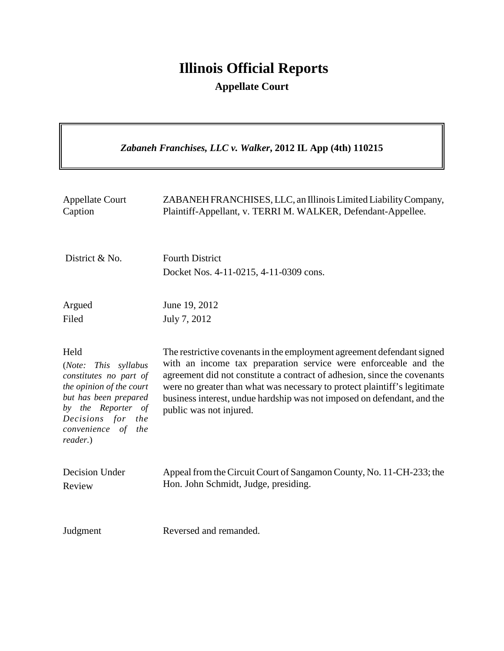# **Illinois Official Reports**

**Appellate Court**

 $\overline{\mathbf{u}}$ 

| Zabaneh Franchises, LLC v. Walker, 2012 IL App (4th) 110215                                                                                                                                       |                                                                                                                                                                                                                                                                                                                                                                                                          |
|---------------------------------------------------------------------------------------------------------------------------------------------------------------------------------------------------|----------------------------------------------------------------------------------------------------------------------------------------------------------------------------------------------------------------------------------------------------------------------------------------------------------------------------------------------------------------------------------------------------------|
| <b>Appellate Court</b><br>Caption                                                                                                                                                                 | ZABANEH FRANCHISES, LLC, an Illinois Limited Liability Company,<br>Plaintiff-Appellant, v. TERRI M. WALKER, Defendant-Appellee.                                                                                                                                                                                                                                                                          |
| District & No.                                                                                                                                                                                    | <b>Fourth District</b><br>Docket Nos. 4-11-0215, 4-11-0309 cons.                                                                                                                                                                                                                                                                                                                                         |
| Argued<br>Filed                                                                                                                                                                                   | June 19, 2012<br>July 7, 2012                                                                                                                                                                                                                                                                                                                                                                            |
| Held<br>(Note:<br>This syllabus<br>constitutes no part of<br>the opinion of the court<br>but has been prepared<br>by the Reporter of<br>Decisions for<br>the<br>convenience of<br>the<br>reader.) | The restrictive covenants in the employment agreement defendant signed<br>with an income tax preparation service were enforceable and the<br>agreement did not constitute a contract of adhesion, since the covenants<br>were no greater than what was necessary to protect plaintiff's legitimate<br>business interest, undue hardship was not imposed on defendant, and the<br>public was not injured. |
| <b>Decision Under</b><br>Review                                                                                                                                                                   | Appeal from the Circuit Court of Sangamon County, No. 11-CH-233; the<br>Hon. John Schmidt, Judge, presiding.                                                                                                                                                                                                                                                                                             |
| Judgment                                                                                                                                                                                          | Reversed and remanded.                                                                                                                                                                                                                                                                                                                                                                                   |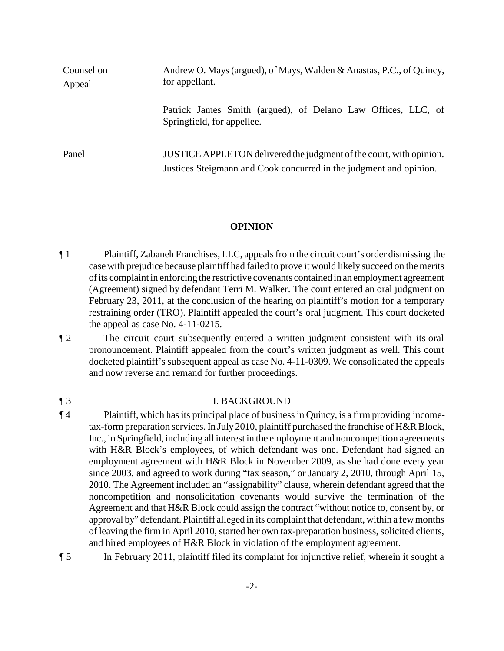| Counsel on<br>Appeal | Andrew O. Mays (argued), of Mays, Walden & Anastas, P.C., of Quincy,<br>for appellant.                                                    |
|----------------------|-------------------------------------------------------------------------------------------------------------------------------------------|
|                      | Patrick James Smith (argued), of Delano Law Offices, LLC, of<br>Springfield, for appellee.                                                |
| Panel                | JUSTICE APPLETON delivered the judgment of the court, with opinion.<br>Justices Steigmann and Cook concurred in the judgment and opinion. |

### **OPINION**

- ¶ 1 Plaintiff, Zabaneh Franchises, LLC, appeals from the circuit court's order dismissing the case with prejudice because plaintiff had failed to prove it would likely succeed on the merits of its complaint in enforcing the restrictive covenants contained in an employment agreement (Agreement) signed by defendant Terri M. Walker. The court entered an oral judgment on February 23, 2011, at the conclusion of the hearing on plaintiff's motion for a temporary restraining order (TRO). Plaintiff appealed the court's oral judgment. This court docketed the appeal as case No. 4-11-0215.
- ¶ 2 The circuit court subsequently entered a written judgment consistent with its oral pronouncement. Plaintiff appealed from the court's written judgment as well. This court docketed plaintiff's subsequent appeal as case No. 4-11-0309. We consolidated the appeals and now reverse and remand for further proceedings.

## ¶ 3 I. BACKGROUND

- ¶ 4 Plaintiff, which has its principal place of business in Quincy, is a firm providing incometax-form preparation services. In July 2010, plaintiff purchased the franchise of H&R Block, Inc., in Springfield, including all interest in the employment and noncompetition agreements with H&R Block's employees, of which defendant was one. Defendant had signed an employment agreement with H&R Block in November 2009, as she had done every year since 2003, and agreed to work during "tax season," or January 2, 2010, through April 15, 2010. The Agreement included an "assignability" clause, wherein defendant agreed that the noncompetition and nonsolicitation covenants would survive the termination of the Agreement and that H&R Block could assign the contract "without notice to, consent by, or approval by" defendant. Plaintiff alleged in its complaint that defendant, within a fewmonths of leaving the firm in April 2010, started her own tax-preparation business, solicited clients, and hired employees of H&R Block in violation of the employment agreement.
- ¶ 5 In February 2011, plaintiff filed its complaint for injunctive relief, wherein it sought a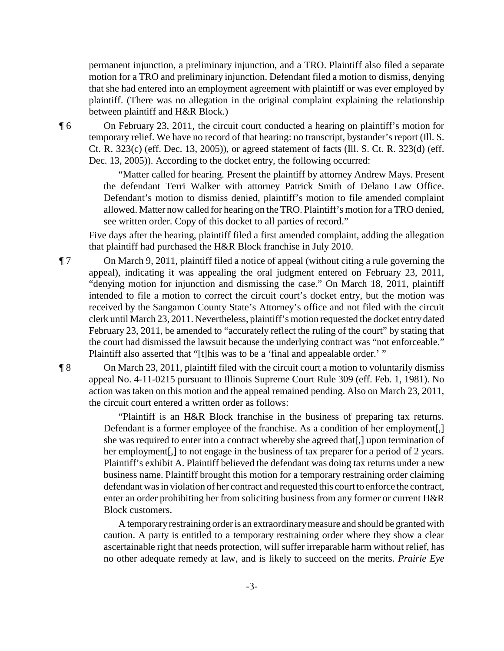permanent injunction, a preliminary injunction, and a TRO. Plaintiff also filed a separate motion for a TRO and preliminary injunction. Defendant filed a motion to dismiss, denying that she had entered into an employment agreement with plaintiff or was ever employed by plaintiff. (There was no allegation in the original complaint explaining the relationship between plaintiff and H&R Block.)

¶ 6 On February 23, 2011, the circuit court conducted a hearing on plaintiff's motion for temporary relief. We have no record of that hearing: no transcript, bystander's report (Ill. S. Ct. R. 323(c) (eff. Dec. 13, 2005)), or agreed statement of facts (Ill. S. Ct. R. 323(d) (eff. Dec. 13, 2005)). According to the docket entry, the following occurred:

> "Matter called for hearing. Present the plaintiff by attorney Andrew Mays. Present the defendant Terri Walker with attorney Patrick Smith of Delano Law Office. Defendant's motion to dismiss denied, plaintiff's motion to file amended complaint allowed. Matter now called for hearing on the TRO. Plaintiff's motion for a TRO denied, see written order. Copy of this docket to all parties of record."

Five days after the hearing, plaintiff filed a first amended complaint, adding the allegation that plaintiff had purchased the H&R Block franchise in July 2010.

¶ 7 On March 9, 2011, plaintiff filed a notice of appeal (without citing a rule governing the appeal), indicating it was appealing the oral judgment entered on February 23, 2011, "denying motion for injunction and dismissing the case." On March 18, 2011, plaintiff intended to file a motion to correct the circuit court's docket entry, but the motion was received by the Sangamon County State's Attorney's office and not filed with the circuit clerk until March 23, 2011. Nevertheless, plaintiff's motion requested the docket entry dated February 23, 2011, be amended to "accurately reflect the ruling of the court" by stating that the court had dismissed the lawsuit because the underlying contract was "not enforceable." Plaintiff also asserted that "[t]his was to be a 'final and appealable order.' "

¶ 8 On March 23, 2011, plaintiff filed with the circuit court a motion to voluntarily dismiss appeal No. 4-11-0215 pursuant to Illinois Supreme Court Rule 309 (eff. Feb. 1, 1981). No action was taken on this motion and the appeal remained pending. Also on March 23, 2011, the circuit court entered a written order as follows:

> "Plaintiff is an H&R Block franchise in the business of preparing tax returns. Defendant is a former employee of the franchise. As a condition of her employment[,] she was required to enter into a contract whereby she agreed that[,] upon termination of her employment[,] to not engage in the business of tax preparer for a period of 2 years. Plaintiff's exhibit A. Plaintiff believed the defendant was doing tax returns under a new business name. Plaintiff brought this motion for a temporary restraining order claiming defendant was in violation of her contract and requested this court to enforce the contract, enter an order prohibiting her from soliciting business from any former or current H&R Block customers.

> A temporary restraining order is an extraordinary measure and should be granted with caution. A party is entitled to a temporary restraining order where they show a clear ascertainable right that needs protection, will suffer irreparable harm without relief, has no other adequate remedy at law, and is likely to succeed on the merits. *Prairie Eye*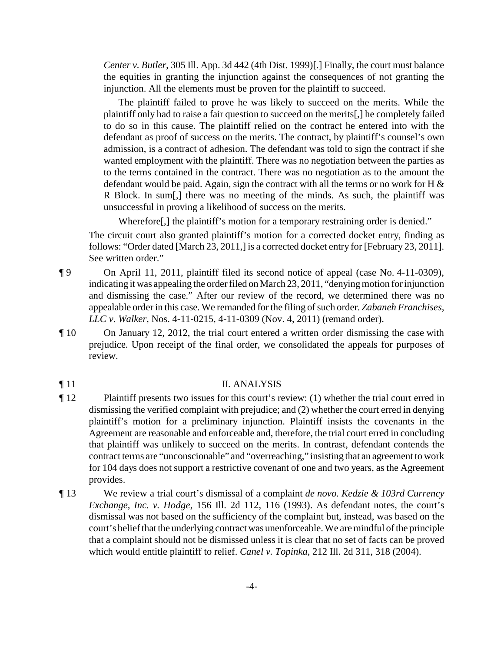*Center v. Butler*, 305 Ill. App. 3d 442 (4th Dist. 1999)[.] Finally, the court must balance the equities in granting the injunction against the consequences of not granting the injunction. All the elements must be proven for the plaintiff to succeed.

The plaintiff failed to prove he was likely to succeed on the merits. While the plaintiff only had to raise a fair question to succeed on the merits[,] he completely failed to do so in this cause. The plaintiff relied on the contract he entered into with the defendant as proof of success on the merits. The contract, by plaintiff's counsel's own admission, is a contract of adhesion. The defendant was told to sign the contract if she wanted employment with the plaintiff. There was no negotiation between the parties as to the terms contained in the contract. There was no negotiation as to the amount the defendant would be paid. Again, sign the contract with all the terms or no work for H  $\&$ R Block. In sum[,] there was no meeting of the minds. As such, the plaintiff was unsuccessful in proving a likelihood of success on the merits.

Wherefore[,] the plaintiff's motion for a temporary restraining order is denied."

The circuit court also granted plaintiff's motion for a corrected docket entry, finding as follows: "Order dated [March 23, 2011,] is a corrected docket entry for [February 23, 2011]. See written order."

- ¶ 9 On April 11, 2011, plaintiff filed its second notice of appeal (case No. 4-11-0309), indicating it was appealing the order filed on March 23, 2011, "denying motion for injunction and dismissing the case." After our review of the record, we determined there was no appealable order in this case. We remanded for the filing of such order. *Zabaneh Franchises, LLC v. Walker*, Nos. 4-11-0215, 4-11-0309 (Nov. 4, 2011) (remand order).
- ¶ 10 On January 12, 2012, the trial court entered a written order dismissing the case with prejudice. Upon receipt of the final order, we consolidated the appeals for purposes of review.
- **Text** 11 II. ANALYSIS
- ¶ 12 Plaintiff presents two issues for this court's review: (1) whether the trial court erred in dismissing the verified complaint with prejudice; and (2) whether the court erred in denying plaintiff's motion for a preliminary injunction. Plaintiff insists the covenants in the Agreement are reasonable and enforceable and, therefore, the trial court erred in concluding that plaintiff was unlikely to succeed on the merits. In contrast, defendant contends the contract terms are "unconscionable" and "overreaching," insisting that an agreement to work for 104 days does not support a restrictive covenant of one and two years, as the Agreement provides.
- ¶ 13 We review a trial court's dismissal of a complaint *de novo*. *Kedzie & 103rd Currency Exchange, Inc. v. Hodge*, 156 Ill. 2d 112, 116 (1993). As defendant notes, the court's dismissal was not based on the sufficiency of the complaint but, instead, was based on the court's belief that the underlying contract was unenforceable. We aremindful of the principle that a complaint should not be dismissed unless it is clear that no set of facts can be proved which would entitle plaintiff to relief. *Canel v. Topinka*, 212 Ill. 2d 311, 318 (2004).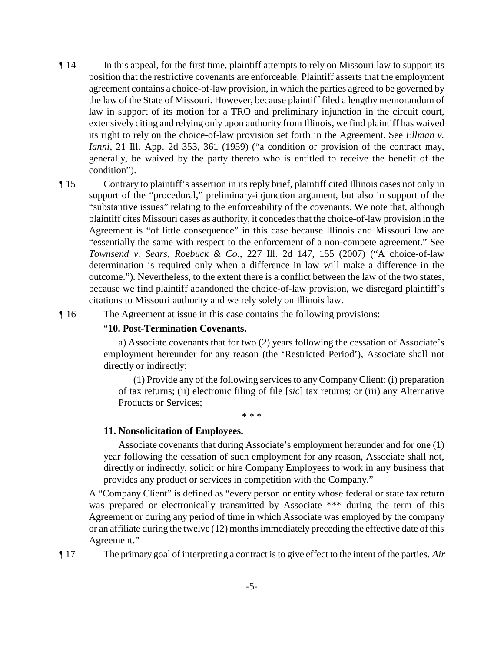- ¶ 14 In this appeal, for the first time, plaintiff attempts to rely on Missouri law to support its position that the restrictive covenants are enforceable. Plaintiff asserts that the employment agreement contains a choice-of-law provision, in which the parties agreed to be governed by the law of the State of Missouri. However, because plaintiff filed a lengthy memorandum of law in support of its motion for a TRO and preliminary injunction in the circuit court, extensively citing and relying only upon authority from Illinois, we find plaintiff has waived its right to rely on the choice-of-law provision set forth in the Agreement. See *Ellman v. Ianni*, 21 Ill. App. 2d 353, 361 (1959) ("a condition or provision of the contract may, generally, be waived by the party thereto who is entitled to receive the benefit of the condition").
- ¶ 15 Contrary to plaintiff's assertion in its reply brief, plaintiff cited Illinois cases not only in support of the "procedural," preliminary-injunction argument, but also in support of the "substantive issues" relating to the enforceability of the covenants. We note that, although plaintiff cites Missouri cases as authority, it concedes that the choice-of-law provision in the Agreement is "of little consequence" in this case because Illinois and Missouri law are "essentially the same with respect to the enforcement of a non-compete agreement." See *Townsend v. Sears, Roebuck & Co.*, 227 Ill. 2d 147, 155 (2007) ("A choice-of-law determination is required only when a difference in law will make a difference in the outcome."). Nevertheless, to the extent there is a conflict between the law of the two states, because we find plaintiff abandoned the choice-of-law provision, we disregard plaintiff's citations to Missouri authority and we rely solely on Illinois law.

¶ 16 The Agreement at issue in this case contains the following provisions:

#### "**10. Post-Termination Covenants.**

a) Associate covenants that for two (2) years following the cessation of Associate's employment hereunder for any reason (the 'Restricted Period'), Associate shall not directly or indirectly:

(1) Provide any of the following services to anyCompany Client: (i) preparation of tax returns; (ii) electronic filing of file [*sic*] tax returns; or (iii) any Alternative Products or Services;

\* \* \*

#### **11. Nonsolicitation of Employees.**

Associate covenants that during Associate's employment hereunder and for one (1) year following the cessation of such employment for any reason, Associate shall not, directly or indirectly, solicit or hire Company Employees to work in any business that provides any product or services in competition with the Company."

A "Company Client" is defined as "every person or entity whose federal or state tax return was prepared or electronically transmitted by Associate \*\*\* during the term of this Agreement or during any period of time in which Associate was employed by the company or an affiliate during the twelve (12) months immediately preceding the effective date of this Agreement."

¶ 17 The primary goal of interpreting a contract is to give effect to the intent of the parties. *Air*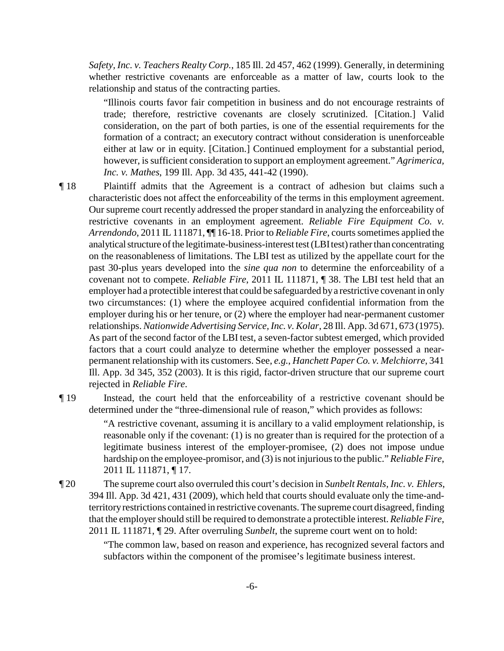*Safety, Inc. v. Teachers Realty Corp.*, 185 Ill. 2d 457, 462 (1999). Generally, in determining whether restrictive covenants are enforceable as a matter of law, courts look to the relationship and status of the contracting parties.

"Illinois courts favor fair competition in business and do not encourage restraints of trade; therefore, restrictive covenants are closely scrutinized. [Citation.] Valid consideration, on the part of both parties, is one of the essential requirements for the formation of a contract; an executory contract without consideration is unenforceable either at law or in equity. [Citation.] Continued employment for a substantial period, however, is sufficient consideration to support an employment agreement." *Agrimerica, Inc. v. Mathes*, 199 Ill. App. 3d 435, 441-42 (1990).

¶ 18 Plaintiff admits that the Agreement is a contract of adhesion but claims such a characteristic does not affect the enforceability of the terms in this employment agreement. Our supreme court recently addressed the proper standard in analyzing the enforceability of restrictive covenants in an employment agreement. *Reliable Fire Equipment Co. v. Arrendondo*, 2011 IL 111871, ¶¶ 16-18. Prior to *Reliable Fire*, courts sometimes applied the analytical structure of the legitimate-business-interest test (LBItest) rather than concentrating on the reasonableness of limitations. The LBI test as utilized by the appellate court for the past 30-plus years developed into the *sine qua non* to determine the enforceability of a covenant not to compete. *Reliable Fire*, 2011 IL 111871, ¶ 38. The LBI test held that an employer had a protectible interest that could be safeguarded bya restrictive covenant in only two circumstances: (1) where the employee acquired confidential information from the employer during his or her tenure, or (2) where the employer had near-permanent customer relationships. *Nationwide Advertising Service, Inc. v. Kolar*, 28 Ill. App. 3d 671, 673 (1975). As part of the second factor of the LBI test, a seven-factor subtest emerged, which provided factors that a court could analyze to determine whether the employer possessed a nearpermanent relationship with its customers. See, *e.g.*, *Hanchett Paper Co. v. Melchiorre*, 341 Ill. App. 3d 345, 352 (2003). It is this rigid, factor-driven structure that our supreme court rejected in *Reliable Fire*.

¶ 19 Instead, the court held that the enforceability of a restrictive covenant should be determined under the "three-dimensional rule of reason," which provides as follows:

> "A restrictive covenant, assuming it is ancillary to a valid employment relationship, is reasonable only if the covenant: (1) is no greater than is required for the protection of a legitimate business interest of the employer-promisee, (2) does not impose undue hardship on the employee-promisor, and (3) is not injurious to the public." *Reliable Fire*, 2011 IL 111871, ¶ 17.

¶ 20 The supreme court also overruled this court's decision in *Sunbelt Rentals, Inc. v. Ehlers*, 394 Ill. App. 3d 421, 431 (2009), which held that courts should evaluate only the time-andterritory restrictions contained in restrictive covenants. The supreme court disagreed, finding that the employer should still be required to demonstrate a protectible interest. *Reliable Fire*, 2011 IL 111871, ¶ 29. After overruling *Sunbelt*, the supreme court went on to hold:

> "The common law, based on reason and experience, has recognized several factors and subfactors within the component of the promisee's legitimate business interest.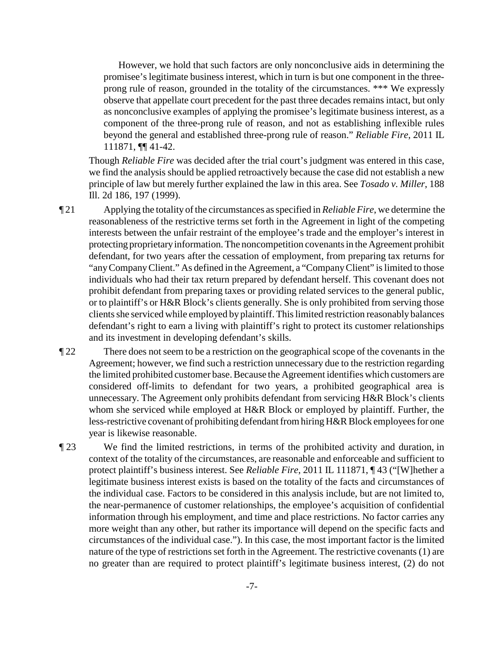However, we hold that such factors are only nonconclusive aids in determining the promisee's legitimate business interest, which in turn is but one component in the threeprong rule of reason, grounded in the totality of the circumstances. \*\*\* We expressly observe that appellate court precedent for the past three decades remains intact, but only as nonconclusive examples of applying the promisee's legitimate business interest, as a component of the three-prong rule of reason, and not as establishing inflexible rules beyond the general and established three-prong rule of reason." *Reliable Fire*, 2011 IL 111871, ¶¶ 41-42.

Though *Reliable Fire* was decided after the trial court's judgment was entered in this case, we find the analysis should be applied retroactively because the case did not establish a new principle of law but merely further explained the law in this area. See *Tosado v. Miller*, 188 Ill. 2d 186, 197 (1999).

¶ 21 Applying the totality of the circumstances as specified in *Reliable Fire*, we determine the reasonableness of the restrictive terms set forth in the Agreement in light of the competing interests between the unfair restraint of the employee's trade and the employer's interest in protecting proprietaryinformation. The noncompetition covenants in the Agreement prohibit defendant, for two years after the cessation of employment, from preparing tax returns for "anyCompanyClient." As defined in the Agreement, a "CompanyClient" is limited to those individuals who had their tax return prepared by defendant herself. This covenant does not prohibit defendant from preparing taxes or providing related services to the general public, or to plaintiff's or H&R Block's clients generally. She is only prohibited from serving those clients she serviced while employed by plaintiff. This limited restriction reasonably balances defendant's right to earn a living with plaintiff's right to protect its customer relationships and its investment in developing defendant's skills.

- ¶ 22 There does not seem to be a restriction on the geographical scope of the covenants in the Agreement; however, we find such a restriction unnecessary due to the restriction regarding the limited prohibited customer base. Because the Agreement identifies which customers are considered off-limits to defendant for two years, a prohibited geographical area is unnecessary. The Agreement only prohibits defendant from servicing H&R Block's clients whom she serviced while employed at H&R Block or employed by plaintiff. Further, the less-restrictive covenant of prohibiting defendant from hiringH&R Block employees for one year is likewise reasonable.
- ¶ 23 We find the limited restrictions, in terms of the prohibited activity and duration, in context of the totality of the circumstances, are reasonable and enforceable and sufficient to protect plaintiff's business interest. See *Reliable Fire*, 2011 IL 111871, ¶ 43 ("[W]hether a legitimate business interest exists is based on the totality of the facts and circumstances of the individual case. Factors to be considered in this analysis include, but are not limited to, the near-permanence of customer relationships, the employee's acquisition of confidential information through his employment, and time and place restrictions. No factor carries any more weight than any other, but rather its importance will depend on the specific facts and circumstances of the individual case."). In this case, the most important factor is the limited nature of the type of restrictions set forth in the Agreement. The restrictive covenants (1) are no greater than are required to protect plaintiff's legitimate business interest, (2) do not